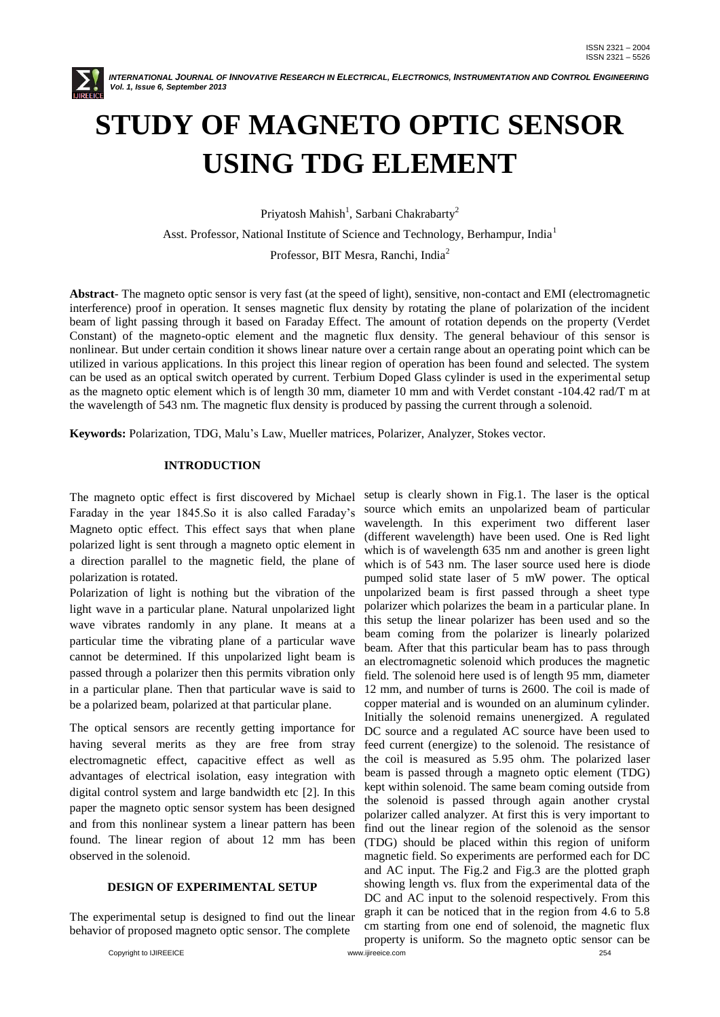

# **STUDY OF MAGNETO OPTIC SENSOR USING TDG ELEMENT**

Priyatosh Mahish<sup>1</sup>, Sarbani Chakrabarty<sup>2</sup>

Asst. Professor, National Institute of Science and Technology, Berhampur, India<sup>1</sup>

Professor, BIT Mesra, Ranchi, India<sup>2</sup>

**Abstract***-* The magneto optic sensor is very fast (at the speed of light), sensitive, non-contact and EMI (electromagnetic interference) proof in operation. It senses magnetic flux density by rotating the plane of polarization of the incident beam of light passing through it based on Faraday Effect. The amount of rotation depends on the property (Verdet Constant) of the magneto-optic element and the magnetic flux density. The general behaviour of this sensor is nonlinear. But under certain condition it shows linear nature over a certain range about an operating point which can be utilized in various applications. In this project this linear region of operation has been found and selected. The system can be used as an optical switch operated by current. Terbium Doped Glass cylinder is used in the experimental setup as the magneto optic element which is of length 30 mm, diameter 10 mm and with Verdet constant -104.42 rad/T m at the wavelength of 543 nm. The magnetic flux density is produced by passing the current through a solenoid.

**Keywords:** Polarization, TDG, Malu's Law, Mueller matrices, Polarizer, Analyzer, Stokes vector.

### **INTRODUCTION**

The magneto optic effect is first discovered by Michael Faraday in the year 1845.So it is also called Faraday's Magneto optic effect. This effect says that when plane polarized light is sent through a magneto optic element in a direction parallel to the magnetic field, the plane of polarization is rotated.

Polarization of light is nothing but the vibration of the light wave in a particular plane. Natural unpolarized light wave vibrates randomly in any plane. It means at a particular time the vibrating plane of a particular wave cannot be determined. If this unpolarized light beam is passed through a polarizer then this permits vibration only in a particular plane. Then that particular wave is said to be a polarized beam, polarized at that particular plane.

The optical sensors are recently getting importance for having several merits as they are free from stray electromagnetic effect, capacitive effect as well as advantages of electrical isolation, easy integration with digital control system and large bandwidth etc [2]. In this paper the magneto optic sensor system has been designed and from this nonlinear system a linear pattern has been found. The linear region of about 12 mm has been observed in the solenoid.

#### **DESIGN OF EXPERIMENTAL SETUP**

The experimental setup is designed to find out the linear behavior of proposed magneto optic sensor. The complete

Copyright to IJIREEICE www.ijireeice.com 254 setup is clearly shown in Fig.1. The laser is the optical source which emits an unpolarized beam of particular wavelength. In this experiment two different laser (different wavelength) have been used. One is Red light which is of wavelength 635 nm and another is green light which is of 543 nm. The laser source used here is diode pumped solid state laser of 5 mW power. The optical unpolarized beam is first passed through a sheet type polarizer which polarizes the beam in a particular plane. In this setup the linear polarizer has been used and so the beam coming from the polarizer is linearly polarized beam. After that this particular beam has to pass through an electromagnetic solenoid which produces the magnetic field. The solenoid here used is of length 95 mm, diameter 12 mm, and number of turns is 2600. The coil is made of copper material and is wounded on an aluminum cylinder. Initially the solenoid remains unenergized. A regulated DC source and a regulated AC source have been used to feed current (energize) to the solenoid. The resistance of the coil is measured as 5.95 ohm. The polarized laser beam is passed through a magneto optic element (TDG) kept within solenoid. The same beam coming outside from the solenoid is passed through again another crystal polarizer called analyzer. At first this is very important to find out the linear region of the solenoid as the sensor (TDG) should be placed within this region of uniform magnetic field. So experiments are performed each for DC and AC input. The Fig.2 and Fig.3 are the plotted graph showing length vs. flux from the experimental data of the DC and AC input to the solenoid respectively. From this graph it can be noticed that in the region from 4.6 to 5.8 cm starting from one end of solenoid, the magnetic flux property is uniform. So the magneto optic sensor can be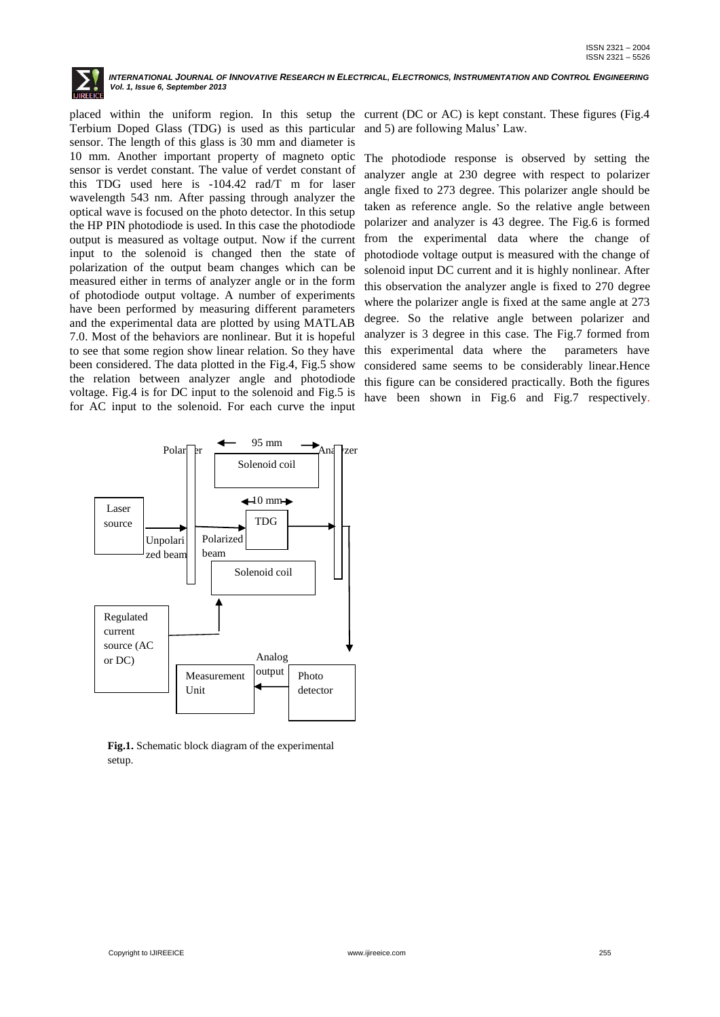

placed within the uniform region. In this setup the Terbium Doped Glass (TDG) is used as this particular sensor. The length of this glass is 30 mm and diameter is 10 mm. Another important property of magneto optic sensor is verdet constant. The value of verdet constant of this TDG used here is -104.42 rad/T m for laser wavelength 543 nm. After passing through analyzer the optical wave is focused on the photo detector. In this setup the HP PIN photodiode is used. In this case the photodiode output is measured as voltage output. Now if the current input to the solenoid is changed then the state of polarization of the output beam changes which can be measured either in terms of analyzer angle or in the form of photodiode output voltage. A number of experiments have been performed by measuring different parameters and the experimental data are plotted by using MATLAB 7.0. Most of the behaviors are nonlinear. But it is hopeful to see that some region show linear relation. So they have been considered. The data plotted in the Fig.4, Fig.5 show the relation between analyzer angle and photodiode voltage. Fig.4 is for DC input to the solenoid and Fig.5 is for AC input to the solenoid. For each curve the input

current (DC or AC) is kept constant. These figures (Fig.4 and 5) are following Malus' Law.

The photodiode response is observed by setting the analyzer angle at 230 degree with respect to polarizer angle fixed to 273 degree. This polarizer angle should be taken as reference angle. So the relative angle between polarizer and analyzer is 43 degree. The Fig.6 is formed from the experimental data where the change of photodiode voltage output is measured with the change of solenoid input DC current and it is highly nonlinear. After this observation the analyzer angle is fixed to 270 degree where the polarizer angle is fixed at the same angle at 273 degree. So the relative angle between polarizer and analyzer is 3 degree in this case. The Fig.7 formed from this experimental data where the parameters have considered same seems to be considerably linear.Hence this figure can be considered practically. Both the figures have been shown in Fig.6 and Fig.7 respectively.



**Fig.1.** Schematic block diagram of the experimental setup.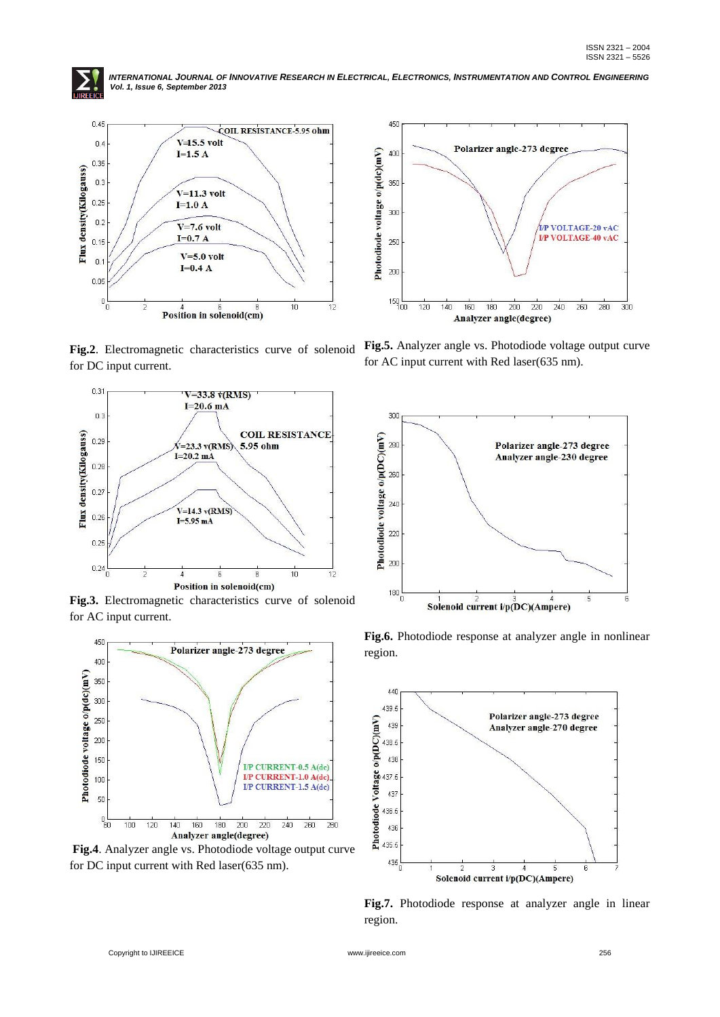



**Fig.2**. Electromagnetic characteristics curve of solenoid for DC input current.



**Fig.3.** Electromagnetic characteristics curve of solenoid for AC input current.



**Fig.4**. Analyzer angle vs. Photodiode voltage output curve for DC input current with Red laser(635 nm).



**Fig.5.** Analyzer angle vs. Photodiode voltage output curve for AC input current with Red laser(635 nm).



**Fig.6.** Photodiode response at analyzer angle in nonlinear region.



**Fig.7.** Photodiode response at analyzer angle in linear region.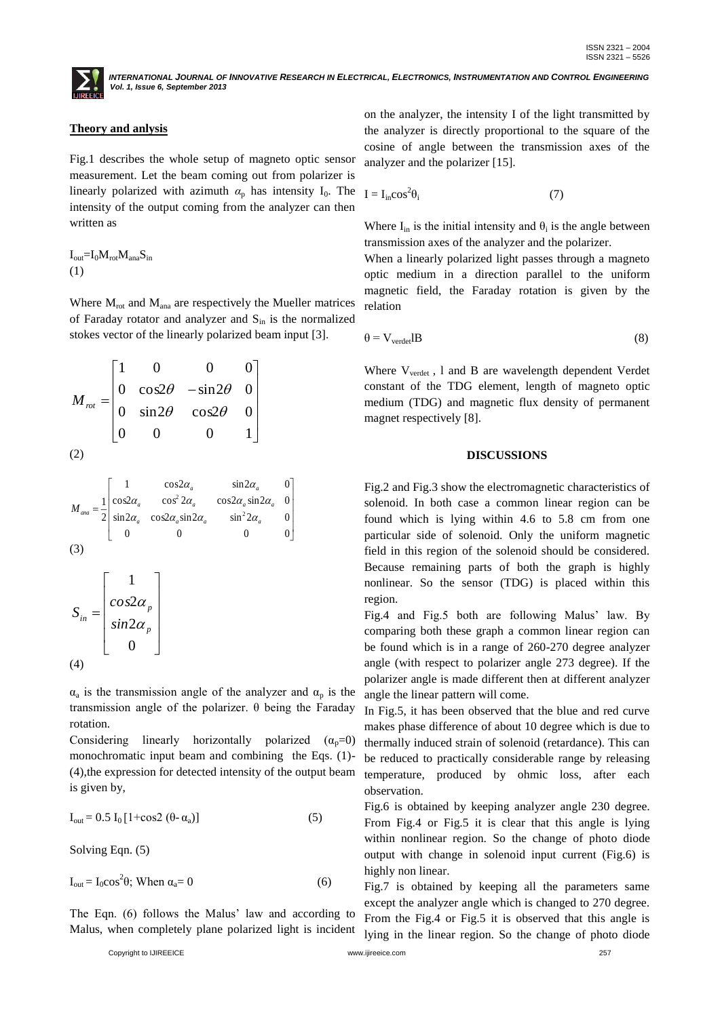## **Theory and anlysis**

Fig.1 describes the whole setup of magneto optic sensor measurement. Let the beam coming out from polarizer is linearly polarized with azimuth  $\alpha_p$  has intensity I<sub>0</sub>. The <sub>I</sub> intensity of the output coming from the analyzer can then written as

 $I_{out} = I_0 M_{rot} M_{ana} S_{in}$ (1)

Where  $M_{\text{rot}}$  and  $M_{\text{ana}}$  are respectively the Mueller matrices of Faraday rotator and analyzer and  $S_{in}$  is the normalized stokes vector of the linearly polarized beam input [3].

$$
M_{\text{rot}} = \begin{bmatrix} 1 & 0 & 0 & 0 \\ 0 & \cos 2\theta & -\sin 2\theta & 0 \\ 0 & \sin 2\theta & \cos 2\theta & 0 \\ 0 & 0 & 0 & 1 \end{bmatrix}
$$
 (2)

$$
M_{ana} = \frac{1}{2} \begin{bmatrix} 1 & \cos 2\alpha_a & \sin 2\alpha_a & 0 \\ \cos 2\alpha_a & \cos^2 2\alpha_a & \cos 2\alpha_a \sin 2\alpha_a & 0 \\ \sin 2\alpha_a & \cos 2\alpha_a \sin 2\alpha_a & \sin^2 2\alpha_a & 0 \\ 0 & 0 & 0 & 0 & 0 \end{bmatrix}
$$
  
\n(3)  
\n
$$
S_{in} = \begin{bmatrix} 1 \\ \cos 2\alpha_p \\ \sin 2\alpha_p \\ 0 \end{bmatrix}
$$
  
\n(4)

 $\alpha_a$  is the transmission angle of the analyzer and  $\alpha_p$  is the transmission angle of the polarizer. θ being the Faraday rotation.

Considering linearly horizontally polarized  $(\alpha_p=0)$ monochromatic input beam and combining the Eqs. (1)- (4),the expression for detected intensity of the output beam is given by,

$$
I_{out} = 0.5 I_0 [1 + \cos 2 (\theta - \alpha_a)] \tag{5}
$$

Solving Eqn. (5)

$$
I_{out} = I_0 \cos^2 \theta; \text{ When } \alpha_a = 0 \tag{6}
$$

The Eqn. (6) follows the Malus' law and according to Malus, when completely plane polarized light is incident

Copyright to IJIREEICE www.ijireeice.com 257

on the analyzer, the intensity I of the light transmitted by the analyzer is directly proportional to the square of the cosine of angle between the transmission axes of the analyzer and the polarizer [15].

$$
I = I_{in} \cos^2 \theta_i \tag{7}
$$

Where  $I_{in}$  is the initial intensity and  $\theta_i$  is the angle between transmission axes of the analyzer and the polarizer.

When a linearly polarized light passes through a magneto optic medium in a direction parallel to the uniform magnetic field, the Faraday rotation is given by the relation

$$
\theta = V_{\text{verdet}}lB\tag{8}
$$

Where V<sub>verdet</sub>, 1 and B are wavelength dependent Verdet constant of the TDG element, length of magneto optic medium (TDG) and magnetic flux density of permanent magnet respectively [8].

#### **DISCUSSIONS**

Fig.2 and Fig.3 show the electromagnetic characteristics of solenoid. In both case a common linear region can be found which is lying within 4.6 to 5.8 cm from one particular side of solenoid. Only the uniform magnetic field in this region of the solenoid should be considered. Because remaining parts of both the graph is highly nonlinear. So the sensor (TDG) is placed within this region.

Fig.4 and Fig.5 both are following Malus' law. By comparing both these graph a common linear region can be found which is in a range of 260-270 degree analyzer angle (with respect to polarizer angle 273 degree). If the polarizer angle is made different then at different analyzer angle the linear pattern will come.

In Fig.5, it has been observed that the blue and red curve makes phase difference of about 10 degree which is due to thermally induced strain of solenoid (retardance). This can be reduced to practically considerable range by releasing temperature, produced by ohmic loss, after each observation.

Fig.6 is obtained by keeping analyzer angle 230 degree. From Fig.4 or Fig.5 it is clear that this angle is lying within nonlinear region. So the change of photo diode output with change in solenoid input current (Fig.6) is highly non linear.

Fig.7 is obtained by keeping all the parameters same except the analyzer angle which is changed to 270 degree. From the Fig.4 or Fig.5 it is observed that this angle is lying in the linear region. So the change of photo diode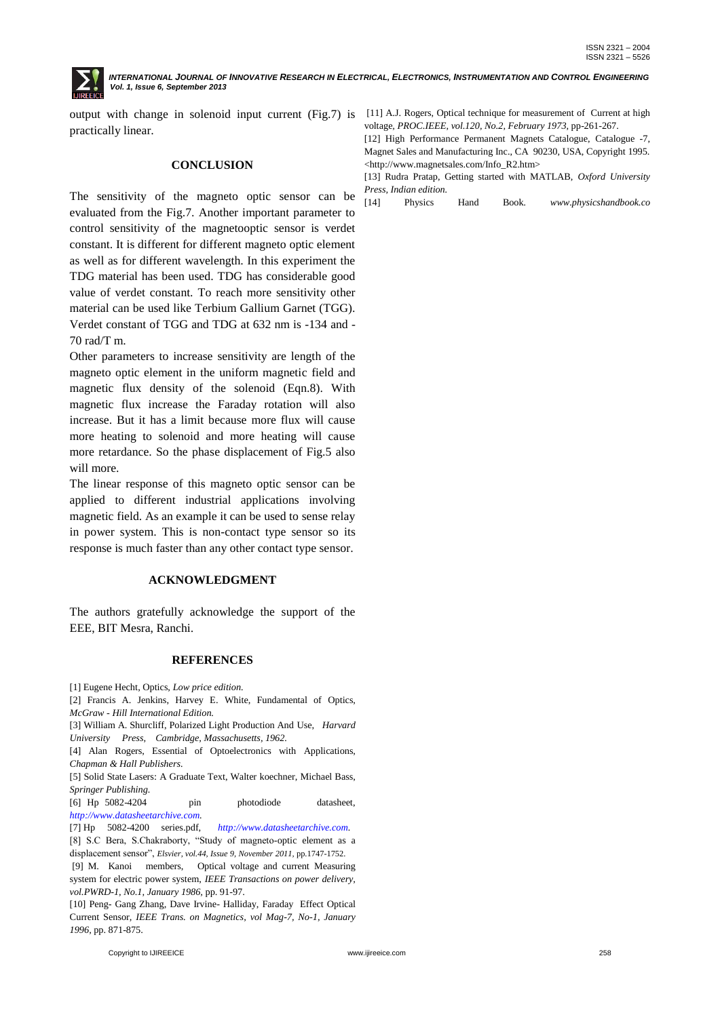output with change in solenoid input current (Fig.7) is [11] A.J. Rogers, Optical technique for measurement of Current at high practically linear.

### **CONCLUSION**

The sensitivity of the magneto optic sensor can be evaluated from the Fig.7. Another important parameter to control sensitivity of the magnetooptic sensor is verdet constant. It is different for different magneto optic element as well as for different wavelength. In this experiment the TDG material has been used. TDG has considerable good value of verdet constant. To reach more sensitivity other material can be used like Terbium Gallium Garnet (TGG). Verdet constant of TGG and TDG at 632 nm is -134 and - 70 rad/T m.

Other parameters to increase sensitivity are length of the magneto optic element in the uniform magnetic field and magnetic flux density of the solenoid (Eqn.8). With magnetic flux increase the Faraday rotation will also increase. But it has a limit because more flux will cause more heating to solenoid and more heating will cause more retardance. So the phase displacement of Fig.5 also will more.

The linear response of this magneto optic sensor can be applied to different industrial applications involving magnetic field. As an example it can be used to sense relay in power system. This is non-contact type sensor so its response is much faster than any other contact type sensor.

#### **ACKNOWLEDGMENT**

The authors gratefully acknowledge the support of the EEE, BIT Mesra, Ranchi.

#### **REFERENCES**

[1] Eugene Hecht, Optics, *Low price edition.*

[2] Francis A. Jenkins, Harvey E. White, Fundamental of Optics, *McGraw - Hill International Edition.*

[3] William A. Shurcliff, Polarized Light Production And Use, *Harvard University Press, Cambridge, Massachusetts, 1962.*

[4] Alan Rogers, Essential of Optoelectronics with Applications, *Chapman & Hall Publishers.*

[5] Solid State Lasers: A Graduate Text, Walter koechner, Michael Bass, *Springer Publishing.*

[6] Hp 5082-4204 pin photodiode datasheet, *[http://www.datasheetarchive.com.](http://www.datasheetarchive.com/)*

[7] Hp 5082-4200 series.pdf, *[http://www.datasheetarchive.com.](http://www.datasheetarchive.com/)*

[8] S.C Bera, S.Chakraborty, "Study of magneto-optic element as a displacement sensor", *Elsvier, vol.44, Issue 9, November 2011,* pp.1747-1752.

[9] M. Kanoi members, Optical voltage and current Measuring system for electric power system, *IEEE Transactions on power delivery, vol.PWRD-1, No.1, January 1986,* pp. 91-97.

[10] Peng- Gang Zhang, Dave Irvine- Halliday, Faraday Effect Optical Current Sensor*, IEEE Trans. on Magnetics, vol Mag-7, No-1, January 1996,* pp. 871-875.

voltage*, PROC.IEEE, vol.120, No.2, February 1973,* pp-261-267.

[12] High Performance Permanent Magnets Catalogue, Catalogue -7, Magnet Sales and Manufacturing Inc., CA 90230, USA, Copyright 1995. <http://www.magnetsales.com/Info\_R2.htm>

[13] Rudra Pratap, Getting started with MATLAB, *Oxford University Press, Indian edition.*

[14] Physics Hand Book*. www.physicshandbook.co*